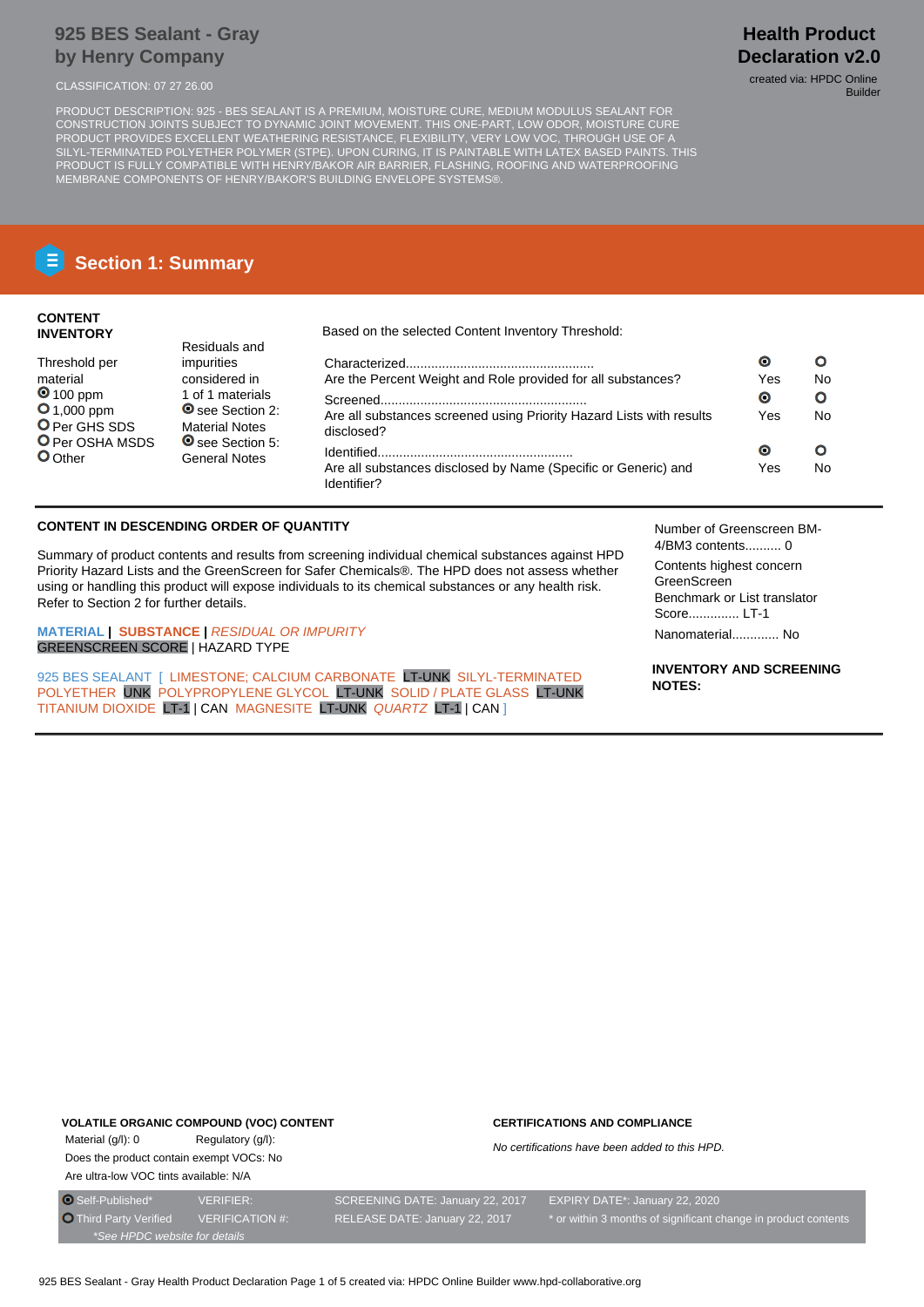## **925 BES Sealant - Gray by Henry Company**

PRODUCT DESCRIPTION: 925 - BES SEALANT IS A PREMIUM, MOISTURE CURE, MEDIUM MODULUS SEALANT FOR CONSTRUCTION JOINTS SUBJECT TO DYNAMIC JOINT MOVEMENT. THIS ONE-PART, LOW ODOR, MOISTURE CURE PRODUCT PROVIDES EXCELLENT WEATHERING RESISTANCE, FLEXIBILITY, VERY LOW VOC, THROUGH USE OF A SILYL-TERMINATED POLYETHER POLYMER (STPE). UPON CURING, IT IS PAINTABLE WITH LATEX BASED PAINTS. THIS PRODUCT IS FULLY COMPATIBLE WITH HENRY/BAKOR AIR BARRIER, FLASHING, ROOFING AND WATERPROOFING MEMBRANE COMPONENTS OF HENRY/BAKOR'S BUILDING ENVELOPE SYSTEMS®.

# **Section 1: Summary**

## **CONTENT INVENTORY**

Threshold per material **0** 100 ppm **O** 1,000 ppm O Per GHS SDS **O** Per OSHA MSDS

**O**Other

Based on the selected Content Inventory Threshold:

| Residuals and                                   |                                                                                    |     |    |
|-------------------------------------------------|------------------------------------------------------------------------------------|-----|----|
| impurities                                      |                                                                                    | O   | Ω  |
| considered in                                   | Are the Percent Weight and Role provided for all substances?                       | Yes | No |
| 1 of 1 materials                                |                                                                                    | Θ   | Ο  |
| See Section 2:<br><b>Material Notes</b>         | Are all substances screened using Priority Hazard Lists with results<br>disclosed? | Yes | No |
| <b>◎</b> see Section 5:<br><b>General Notes</b> |                                                                                    | О   | Ο  |
|                                                 | Are all substances disclosed by Name (Specific or Generic) and<br>Identifier?      | Yes | No |

## **CONTENT IN DESCENDING ORDER OF QUANTITY**

Summary of product contents and results from screening individual chemical substances against HPD Priority Hazard Lists and the GreenScreen for Safer Chemicals®. The HPD does not assess whether using or handling this product will expose individuals to its chemical substances or any health risk. Refer to Section 2 for further details.

**MATERIAL | SUBSTANCE |** RESIDUAL OR IMPURITY GREENSCREEN SCORE | HAZARD TYPE

925 BES SEALANT [ LIMESTONE: CALCIUM CARBONATE LT-UNK SILYL-TERMINATED POLYETHER UNK POLYPROPYLENE GLYCOL LT-UNK SOLID / PLATE GLASS LT-UNK TITANIUM DIOXIDE LT-1 | CAN MAGNESITE LT-UNK QUARTZ LT-1 | CAN ]

Number of Greenscreen BM-4/BM3 contents.......... 0

Contents highest concern GreenScreen Benchmark or List translator Score.............. LT-1

Nanomaterial............. No

**INVENTORY AND SCREENING NOTES:**

## **VOLATILE ORGANIC COMPOUND (VOC) CONTENT**

Material (g/l): 0 Regulatory (g/l): Does the product contain exempt VOCs: No Are ultra-low VOC tints available: N/A

#### **CERTIFICATIONS AND COMPLIANCE**

No certifications have been added to this HPD.

**Health Product Declaration v2.0** CLASSIFICATION: 07 27 26.00 created via: HPDC Online

Builder

\*See HPDC website for details

O Self-Published\* VERIFIER: SCREENING DATE: January 22, 2017 EXPIRY DATE\*: January 22, 2020 Third Party Verified VERIFICATION #: RELEASE DATE: January 22, 2017 \* or within 3 months of significant change in product contents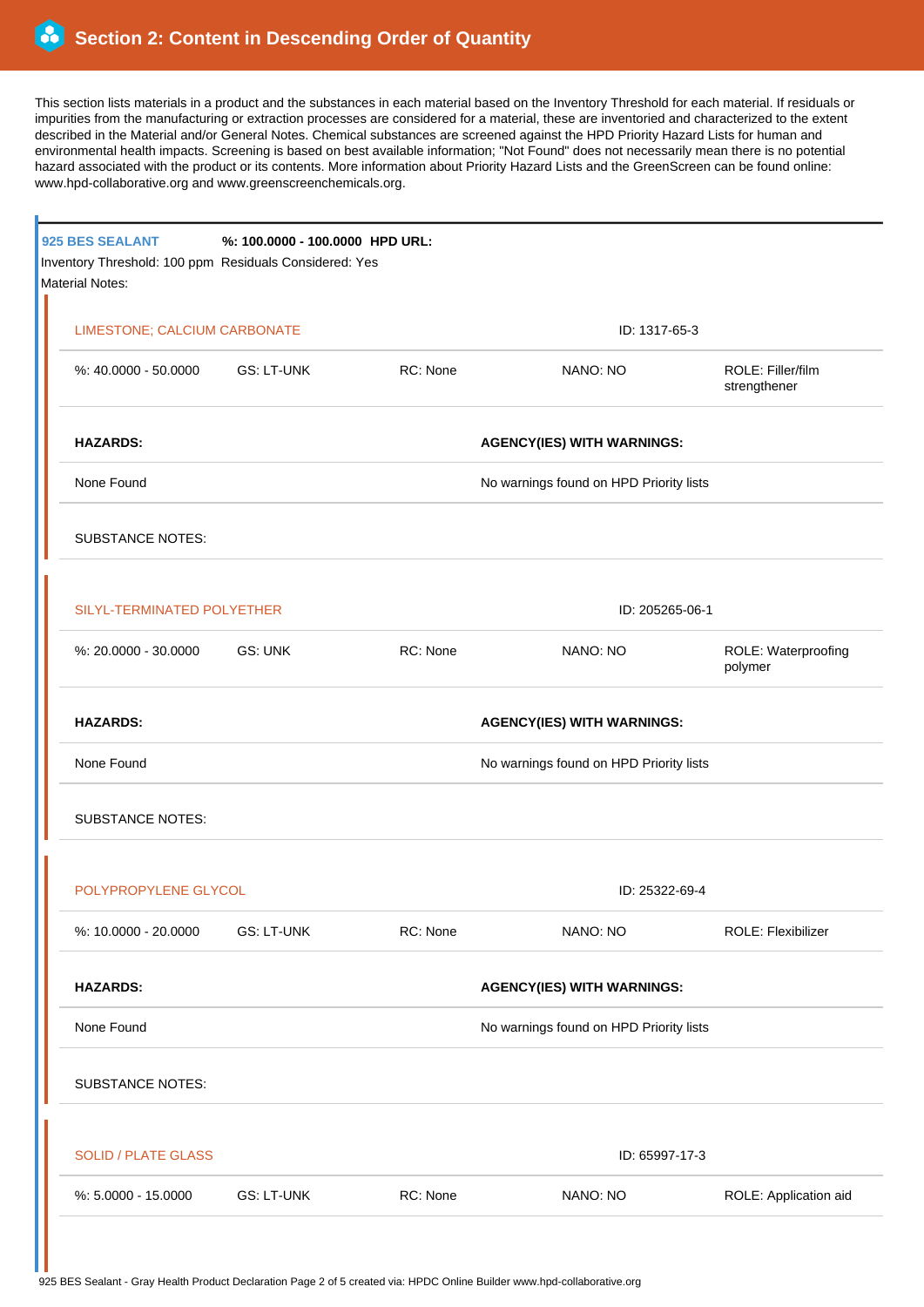This section lists materials in a product and the substances in each material based on the Inventory Threshold for each material. If residuals or impurities from the manufacturing or extraction processes are considered for a material, these are inventoried and characterized to the extent described in the Material and/or General Notes. Chemical substances are screened against the HPD Priority Hazard Lists for human and environmental health impacts. Screening is based on best available information; "Not Found" does not necessarily mean there is no potential hazard associated with the product or its contents. More information about Priority Hazard Lists and the GreenScreen can be found online: www.hpd-collaborative.org and www.greenscreenchemicals.org.

|  | 925 BES SEALANT<br>Inventory Threshold: 100 ppm Residuals Considered: Yes<br><b>Material Notes:</b> | %: 100.0000 - 100.0000 HPD URL: |                                   |                                         |                                   |  |  |
|--|-----------------------------------------------------------------------------------------------------|---------------------------------|-----------------------------------|-----------------------------------------|-----------------------------------|--|--|
|  | LIMESTONE; CALCIUM CARBONATE                                                                        |                                 |                                   | ID: 1317-65-3                           |                                   |  |  |
|  | %: 40.0000 - 50.0000 GS: LT-UNK                                                                     |                                 | RC: None                          | NANO: NO                                | ROLE: Filler/film<br>strengthener |  |  |
|  | <b>HAZARDS:</b>                                                                                     |                                 |                                   | <b>AGENCY(IES) WITH WARNINGS:</b>       |                                   |  |  |
|  | None Found                                                                                          |                                 |                                   | No warnings found on HPD Priority lists |                                   |  |  |
|  | <b>SUBSTANCE NOTES:</b>                                                                             |                                 |                                   |                                         |                                   |  |  |
|  | SILYL-TERMINATED POLYETHER                                                                          |                                 |                                   | ID: 205265-06-1                         |                                   |  |  |
|  | %: 20.0000 - 30.0000                                                                                | GS: UNK                         | RC: None                          | NANO: NO                                | ROLE: Waterproofing<br>polymer    |  |  |
|  | <b>HAZARDS:</b><br>None Found                                                                       |                                 |                                   | <b>AGENCY(IES) WITH WARNINGS:</b>       |                                   |  |  |
|  |                                                                                                     |                                 |                                   | No warnings found on HPD Priority lists |                                   |  |  |
|  | <b>SUBSTANCE NOTES:</b>                                                                             |                                 |                                   |                                         |                                   |  |  |
|  | POLYPROPYLENE GLYCOL                                                                                |                                 |                                   | ID: 25322-69-4                          |                                   |  |  |
|  | %: 10.0000 - 20.0000                                                                                | <b>GS: LT-UNK</b>               | RC: None                          | NANO: NO                                | ROLE: Flexibilizer                |  |  |
|  | <b>HAZARDS:</b>                                                                                     |                                 | <b>AGENCY(IES) WITH WARNINGS:</b> |                                         |                                   |  |  |
|  | None Found                                                                                          |                                 |                                   | No warnings found on HPD Priority lists |                                   |  |  |
|  | <b>SUBSTANCE NOTES:</b>                                                                             |                                 |                                   |                                         |                                   |  |  |
|  | <b>SOLID / PLATE GLASS</b>                                                                          |                                 |                                   | ID: 65997-17-3                          |                                   |  |  |
|  | %: 5.0000 - 15.0000                                                                                 | <b>GS: LT-UNK</b>               | RC: None                          | NANO: NO                                | ROLE: Application aid             |  |  |
|  |                                                                                                     |                                 |                                   |                                         |                                   |  |  |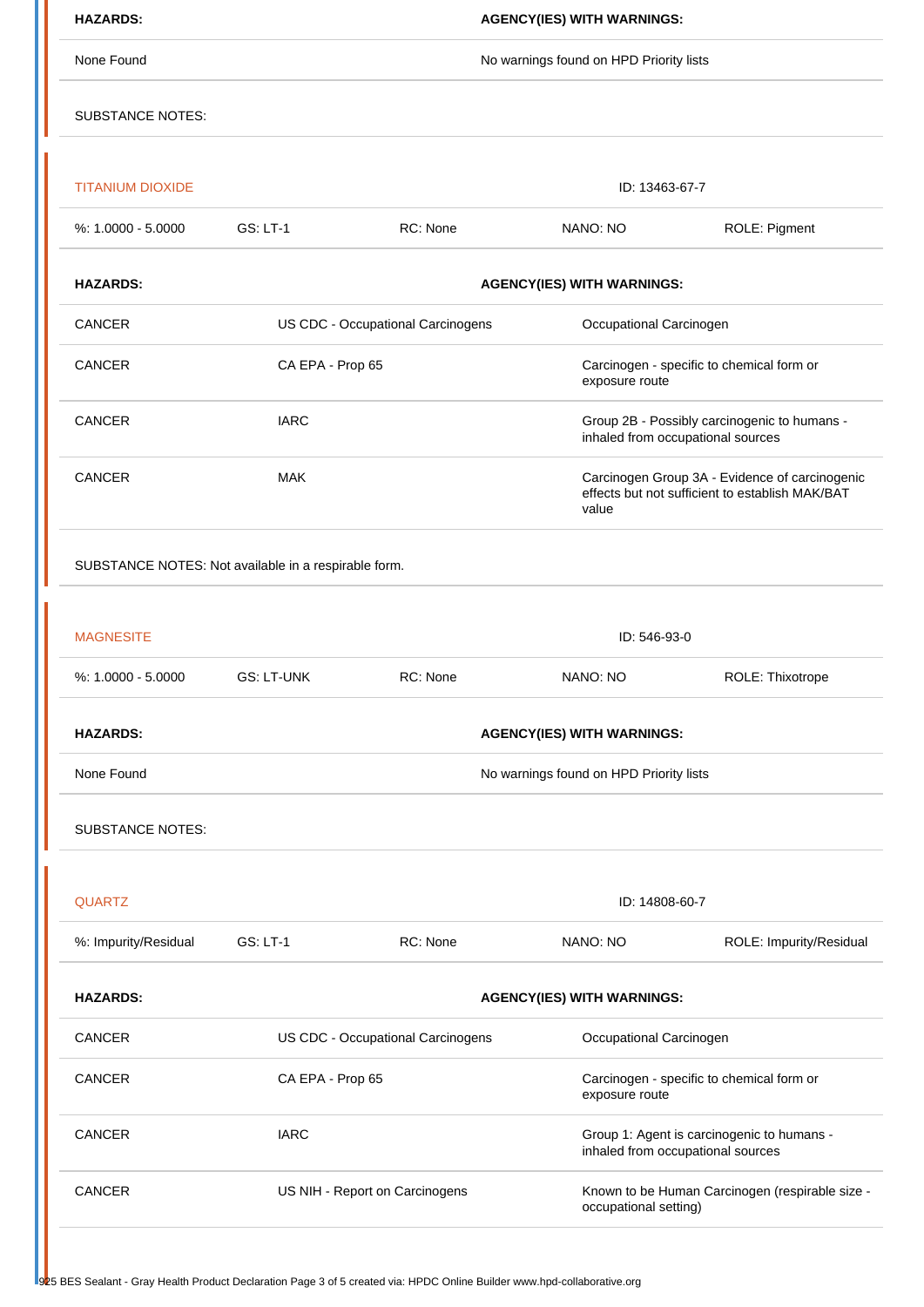| <b>HAZARDS:</b>                                      | <b>AGENCY(IES) WITH WARNINGS:</b>                            |                |                                                                                                            |                         |  |  |  |
|------------------------------------------------------|--------------------------------------------------------------|----------------|------------------------------------------------------------------------------------------------------------|-------------------------|--|--|--|
| None Found                                           | No warnings found on HPD Priority lists                      |                |                                                                                                            |                         |  |  |  |
| <b>SUBSTANCE NOTES:</b>                              |                                                              |                |                                                                                                            |                         |  |  |  |
| <b>TITANIUM DIOXIDE</b>                              |                                                              |                | ID: 13463-67-7                                                                                             |                         |  |  |  |
| $%: 1.0000 - 5.0000$                                 | <b>GS: LT-1</b>                                              | RC: None       | NANO: NO                                                                                                   | ROLE: Pigment           |  |  |  |
| <b>HAZARDS:</b>                                      | <b>AGENCY(IES) WITH WARNINGS:</b>                            |                |                                                                                                            |                         |  |  |  |
| CANCER                                               | US CDC - Occupational Carcinogens<br>Occupational Carcinogen |                |                                                                                                            |                         |  |  |  |
| <b>CANCER</b>                                        | CA EPA - Prop 65                                             |                | Carcinogen - specific to chemical form or<br>exposure route                                                |                         |  |  |  |
| CANCER                                               | <b>IARC</b>                                                  |                | Group 2B - Possibly carcinogenic to humans -<br>inhaled from occupational sources                          |                         |  |  |  |
| CANCER                                               | <b>MAK</b>                                                   |                | Carcinogen Group 3A - Evidence of carcinogenic<br>effects but not sufficient to establish MAK/BAT<br>value |                         |  |  |  |
| SUBSTANCE NOTES: Not available in a respirable form. |                                                              |                |                                                                                                            |                         |  |  |  |
|                                                      |                                                              |                |                                                                                                            |                         |  |  |  |
| <b>MAGNESITE</b>                                     | ID: 546-93-0                                                 |                |                                                                                                            |                         |  |  |  |
| %: 1.0000 - 5.0000                                   | <b>GS: LT-UNK</b>                                            | RC: None       | NANO: NO                                                                                                   | ROLE: Thixotrope        |  |  |  |
| <b>HAZARDS:</b>                                      | <b>AGENCY(IES) WITH WARNINGS:</b>                            |                |                                                                                                            |                         |  |  |  |
| None Found                                           | No warnings found on HPD Priority lists                      |                |                                                                                                            |                         |  |  |  |
| <b>SUBSTANCE NOTES:</b>                              |                                                              |                |                                                                                                            |                         |  |  |  |
| <b>QUARTZ</b>                                        |                                                              | ID: 14808-60-7 |                                                                                                            |                         |  |  |  |
| %: Impurity/Residual                                 | <b>GS: LT-1</b>                                              | RC: None       | NANO: NO                                                                                                   | ROLE: Impurity/Residual |  |  |  |
| <b>HAZARDS:</b>                                      | <b>AGENCY(IES) WITH WARNINGS:</b>                            |                |                                                                                                            |                         |  |  |  |
| CANCER                                               | US CDC - Occupational Carcinogens                            |                | Occupational Carcinogen                                                                                    |                         |  |  |  |
| CANCER                                               | CA EPA - Prop 65                                             |                | Carcinogen - specific to chemical form or<br>exposure route                                                |                         |  |  |  |
| CANCER                                               | <b>IARC</b>                                                  |                | Group 1: Agent is carcinogenic to humans -<br>inhaled from occupational sources                            |                         |  |  |  |
| <b>CANCER</b>                                        | US NIH - Report on Carcinogens                               |                | Known to be Human Carcinogen (respirable size -<br>occupational setting)                                   |                         |  |  |  |
|                                                      |                                                              |                |                                                                                                            |                         |  |  |  |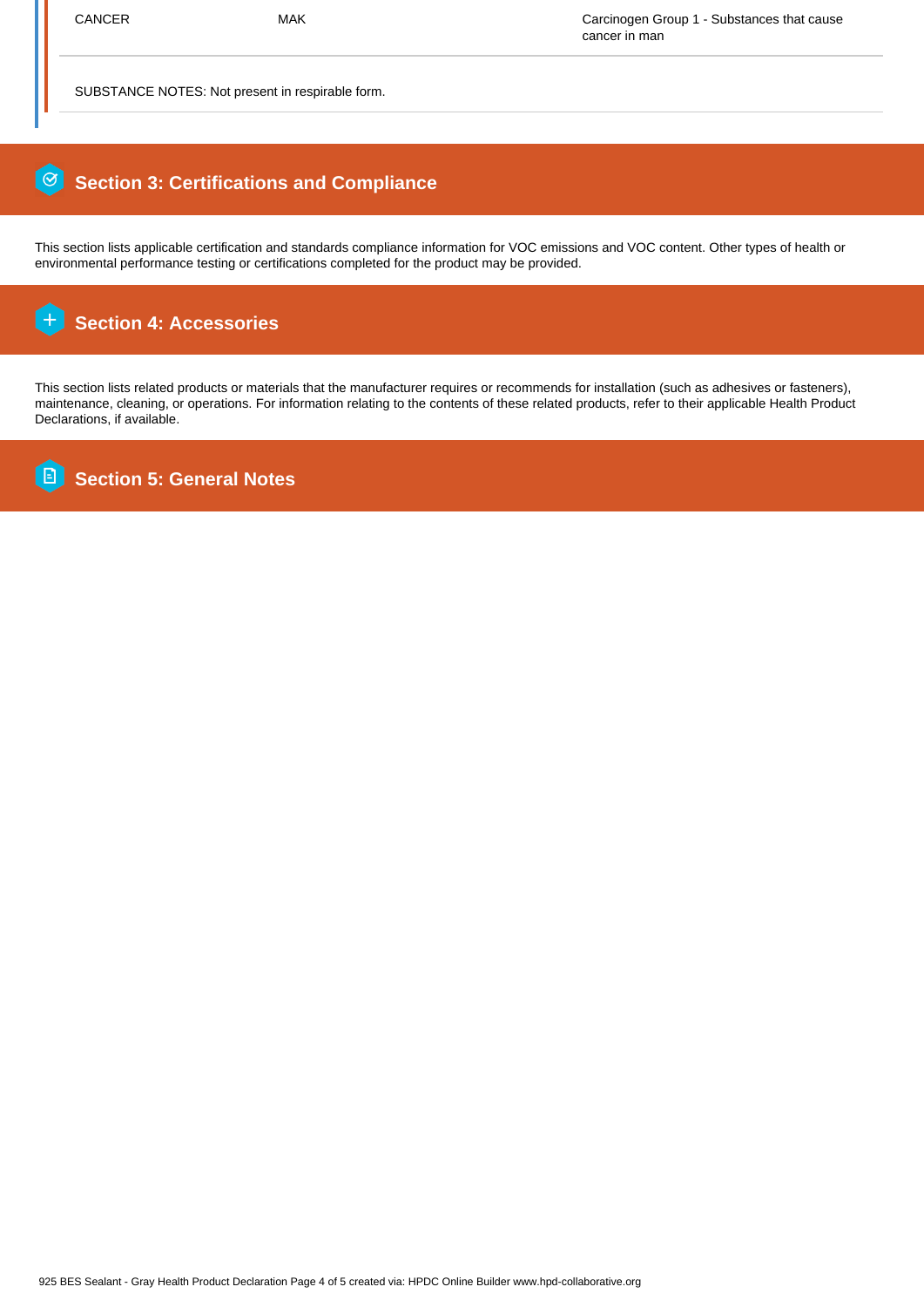SUBSTANCE NOTES: Not present in respirable form.

## 0  **Section 3: Certifications and Compliance**

This section lists applicable certification and standards compliance information for VOC emissions and VOC content. Other types of health or environmental performance testing or certifications completed for the product may be provided.

#### $\overline{+}$  **Section 4: Accessories**

This section lists related products or materials that the manufacturer requires or recommends for installation (such as adhesives or fasteners), maintenance, cleaning, or operations. For information relating to the contents of these related products, refer to their applicable Health Product Declarations, if available.

**B Section 5: General Notes**